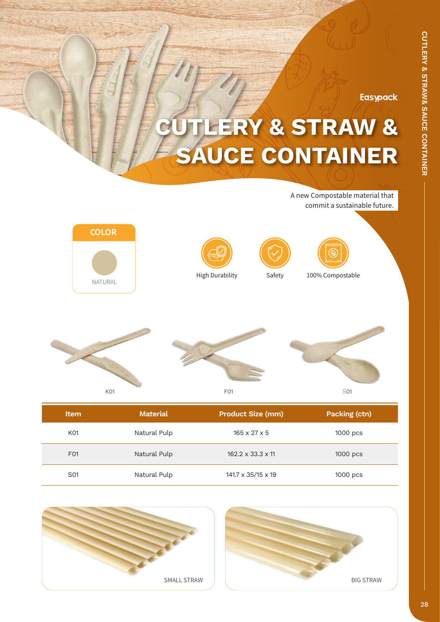**Easypack** 

## **CUTLERY & STRAW & SAUCE CONTAINER**

**Item Material Product Size (mm) Packing (ctn)** K01 **Natural Pulp** 165 x 27 x 5 1000 pcs F01 Natural Pulp 162.2 x 33.3 x 11 1000 pcs S01 **Natural Pulp 141.7 x 35/15 x 19** 1000 pcs K01 F01 S01 High Durability Safety 100% Compostable A new Compostable material that commit a sustainable future. **COLOR** NATURAL